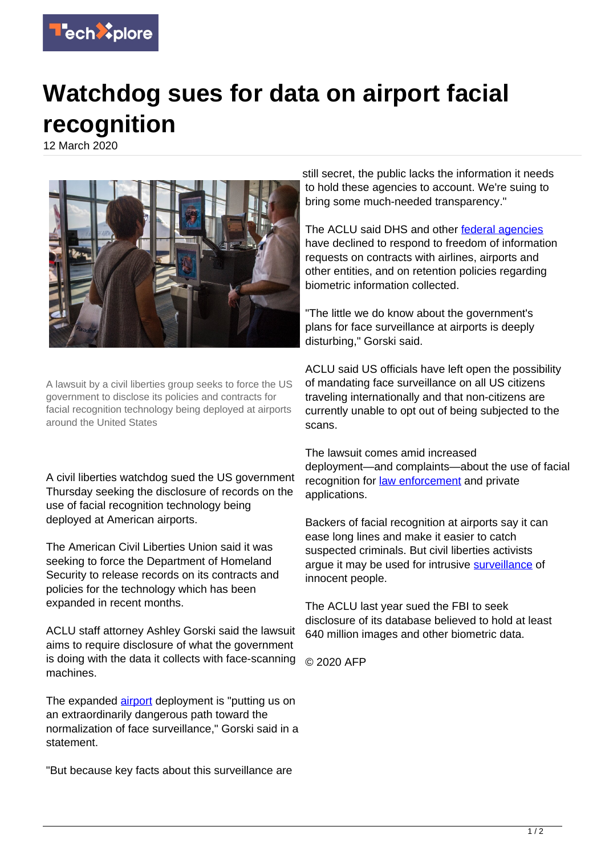

## **Watchdog sues for data on airport facial recognition**

12 March 2020



A lawsuit by a civil liberties group seeks to force the US government to disclose its policies and contracts for facial recognition technology being deployed at airports around the United States

A civil liberties watchdog sued the US government Thursday seeking the disclosure of records on the use of facial recognition technology being deployed at American airports.

The American Civil Liberties Union said it was seeking to force the Department of Homeland Security to release records on its contracts and policies for the technology which has been expanded in recent months.

ACLU staff attorney Ashley Gorski said the lawsuit aims to require disclosure of what the government is doing with the data it collects with face-scanning © 2020 AFP machines.

The expanded *airport* deployment is "putting us on an extraordinarily dangerous path toward the normalization of face surveillance," Gorski said in a statement.

"But because key facts about this surveillance are

still secret, the public lacks the information it needs to hold these agencies to account. We're suing to bring some much-needed transparency."

The ACLU said DHS and other [federal agencies](https://techxplore.com/tags/federal+agencies/) have declined to respond to freedom of information requests on contracts with airlines, airports and other entities, and on retention policies regarding biometric information collected.

"The little we do know about the government's plans for face surveillance at airports is deeply disturbing," Gorski said.

ACLU said US officials have left open the possibility of mandating face surveillance on all US citizens traveling internationally and that non-citizens are currently unable to opt out of being subjected to the scans.

The lawsuit comes amid increased deployment—and complaints—about the use of facial recognition for **law enforcement** and private applications.

Backers of facial recognition at airports say it can ease long lines and make it easier to catch suspected criminals. But civil liberties activists argue it may be used for intrusive [surveillance](https://techxplore.com/tags/surveillance/) of innocent people.

The ACLU last year sued the FBI to seek disclosure of its database believed to hold at least 640 million images and other biometric data.